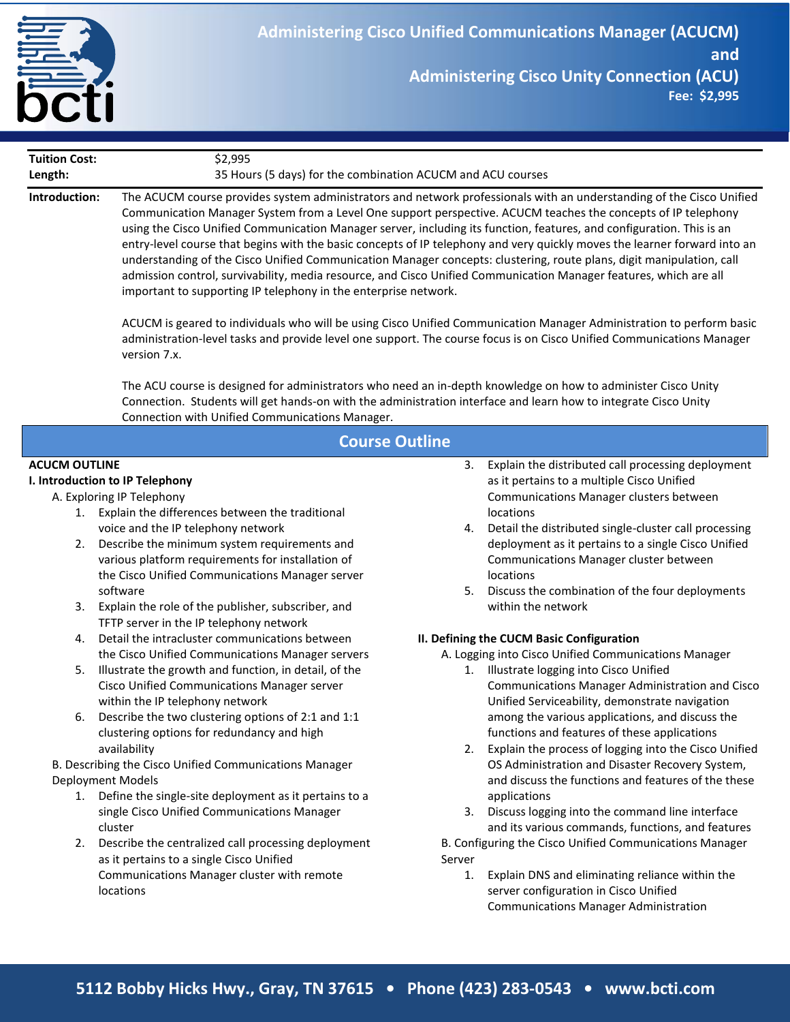

| <b>Tuition Cost:</b>                                                                                                                                                                                                                                                                | \$2,995                                                                                                                                                                                                                                                                                                                                                                                                                                                                                                                                                                                                                                                                                         |          |                                                                                                                                                                                                                                                                                                                                                                           |
|-------------------------------------------------------------------------------------------------------------------------------------------------------------------------------------------------------------------------------------------------------------------------------------|-------------------------------------------------------------------------------------------------------------------------------------------------------------------------------------------------------------------------------------------------------------------------------------------------------------------------------------------------------------------------------------------------------------------------------------------------------------------------------------------------------------------------------------------------------------------------------------------------------------------------------------------------------------------------------------------------|----------|---------------------------------------------------------------------------------------------------------------------------------------------------------------------------------------------------------------------------------------------------------------------------------------------------------------------------------------------------------------------------|
| Length:<br>35 Hours (5 days) for the combination ACUCM and ACU courses                                                                                                                                                                                                              |                                                                                                                                                                                                                                                                                                                                                                                                                                                                                                                                                                                                                                                                                                 |          |                                                                                                                                                                                                                                                                                                                                                                           |
| Introduction:                                                                                                                                                                                                                                                                       | Communication Manager System from a Level One support perspective. ACUCM teaches the concepts of IP telephony<br>using the Cisco Unified Communication Manager server, including its function, features, and configuration. This is an<br>understanding of the Cisco Unified Communication Manager concepts: clustering, route plans, digit manipulation, call<br>admission control, survivability, media resource, and Cisco Unified Communication Manager features, which are all<br>important to supporting IP telephony in the enterprise network.<br>administration-level tasks and provide level one support. The course focus is on Cisco Unified Communications Manager<br>version 7.x. |          | The ACUCM course provides system administrators and network professionals with an understanding of the Cisco Unified<br>entry-level course that begins with the basic concepts of IP telephony and very quickly moves the learner forward into an<br>ACUCM is geared to individuals who will be using Cisco Unified Communication Manager Administration to perform basic |
| The ACU course is designed for administrators who need an in-depth knowledge on how to administer Cisco Unity<br>Connection. Students will get hands-on with the administration interface and learn how to integrate Cisco Unity<br>Connection with Unified Communications Manager. |                                                                                                                                                                                                                                                                                                                                                                                                                                                                                                                                                                                                                                                                                                 |          |                                                                                                                                                                                                                                                                                                                                                                           |
| <b>Course Outline</b>                                                                                                                                                                                                                                                               |                                                                                                                                                                                                                                                                                                                                                                                                                                                                                                                                                                                                                                                                                                 |          |                                                                                                                                                                                                                                                                                                                                                                           |
| <b>ACUCM OUTLINE</b><br>I. Introduction to IP Telephony                                                                                                                                                                                                                             |                                                                                                                                                                                                                                                                                                                                                                                                                                                                                                                                                                                                                                                                                                 | 3.       | Explain the distributed call processing deployment<br>as it pertains to a multiple Cisco Unified                                                                                                                                                                                                                                                                          |
|                                                                                                                                                                                                                                                                                     | A. Exploring IP Telephony                                                                                                                                                                                                                                                                                                                                                                                                                                                                                                                                                                                                                                                                       |          | Communications Manager clusters between                                                                                                                                                                                                                                                                                                                                   |
|                                                                                                                                                                                                                                                                                     | 1. Explain the differences between the traditional                                                                                                                                                                                                                                                                                                                                                                                                                                                                                                                                                                                                                                              |          | locations                                                                                                                                                                                                                                                                                                                                                                 |
| 2.<br>3.                                                                                                                                                                                                                                                                            | voice and the IP telephony network<br>Describe the minimum system requirements and<br>various platform requirements for installation of<br>the Cisco Unified Communications Manager server<br>software<br>Explain the role of the publisher, subscriber, and                                                                                                                                                                                                                                                                                                                                                                                                                                    | 4.<br>5. | Detail the distributed single-cluster call processing<br>deployment as it pertains to a single Cisco Unified<br>Communications Manager cluster between<br>locations<br>Discuss the combination of the four deployments<br>within the network                                                                                                                              |
|                                                                                                                                                                                                                                                                                     | TFTP server in the IP telephony network                                                                                                                                                                                                                                                                                                                                                                                                                                                                                                                                                                                                                                                         |          |                                                                                                                                                                                                                                                                                                                                                                           |
| 4.                                                                                                                                                                                                                                                                                  | Detail the intracluster communications between<br>the Cisco Unified Communications Manager servers                                                                                                                                                                                                                                                                                                                                                                                                                                                                                                                                                                                              |          | II. Defining the CUCM Basic Configuration<br>A. Logging into Cisco Unified Communications Manager                                                                                                                                                                                                                                                                         |
| 5.<br>6.                                                                                                                                                                                                                                                                            | Illustrate the growth and function, in detail, of the<br>Cisco Unified Communications Manager server<br>within the IP telephony network<br>Describe the two clustering options of 2:1 and 1:1<br>clustering options for redundancy and high                                                                                                                                                                                                                                                                                                                                                                                                                                                     | 1.       | Illustrate logging into Cisco Unified<br>Communications Manager Administration and Cisco<br>Unified Serviceability, demonstrate navigation<br>among the various applications, and discuss the<br>functions and features of these applications                                                                                                                             |
|                                                                                                                                                                                                                                                                                     | availability                                                                                                                                                                                                                                                                                                                                                                                                                                                                                                                                                                                                                                                                                    | 2.       | Explain the process of logging into the Cisco Unified                                                                                                                                                                                                                                                                                                                     |
| B. Describing the Cisco Unified Communications Manager                                                                                                                                                                                                                              |                                                                                                                                                                                                                                                                                                                                                                                                                                                                                                                                                                                                                                                                                                 |          | OS Administration and Disaster Recovery System,                                                                                                                                                                                                                                                                                                                           |
|                                                                                                                                                                                                                                                                                     | Deployment Models                                                                                                                                                                                                                                                                                                                                                                                                                                                                                                                                                                                                                                                                               |          | and discuss the functions and features of the these                                                                                                                                                                                                                                                                                                                       |
|                                                                                                                                                                                                                                                                                     | 1. Define the single-site deployment as it pertains to a<br>single Cisco Unified Communications Manager<br>cluster                                                                                                                                                                                                                                                                                                                                                                                                                                                                                                                                                                              | 3.       | applications<br>Discuss logging into the command line interface<br>and its various commands, functions, and features                                                                                                                                                                                                                                                      |
| 2.                                                                                                                                                                                                                                                                                  | Describe the centralized call processing deployment                                                                                                                                                                                                                                                                                                                                                                                                                                                                                                                                                                                                                                             |          | B. Configuring the Cisco Unified Communications Manager                                                                                                                                                                                                                                                                                                                   |
|                                                                                                                                                                                                                                                                                     | as it pertains to a single Cisco Unified                                                                                                                                                                                                                                                                                                                                                                                                                                                                                                                                                                                                                                                        | Server   |                                                                                                                                                                                                                                                                                                                                                                           |
|                                                                                                                                                                                                                                                                                     | Communications Manager cluster with remote<br>locations                                                                                                                                                                                                                                                                                                                                                                                                                                                                                                                                                                                                                                         | 1.       | Explain DNS and eliminating reliance within the<br>server configuration in Cisco Unified<br><b>Communications Manager Administration</b>                                                                                                                                                                                                                                  |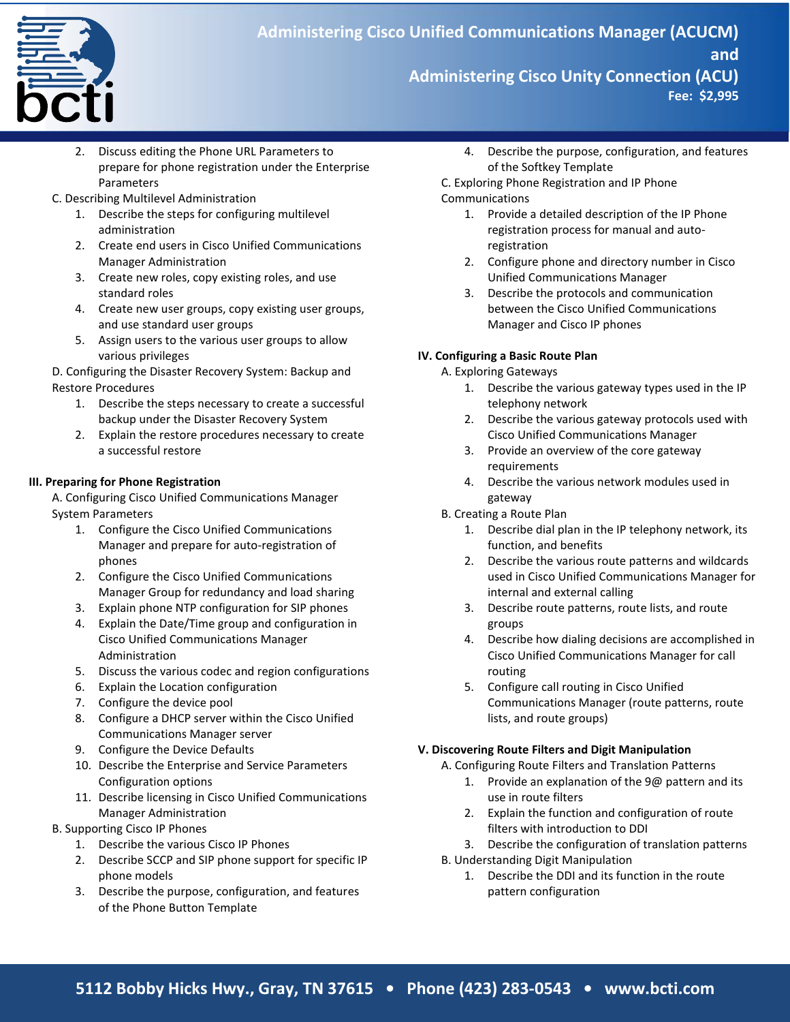

**March to June 2009**

- 2. Discuss editing the Phone URL Parameters to prepare for phone registration under the Enterprise Parameters
- C. Describing Multilevel Administration
	- 1. Describe the steps for configuring multilevel administration
	- 2. Create end users in Cisco Unified Communications Manager Administration
	- 3. Create new roles, copy existing roles, and use standard roles
	- 4. Create new user groups, copy existing user groups, and use standard user groups
	- 5. Assign users to the various user groups to allow various privileges

D. Configuring the Disaster Recovery System: Backup and Restore Procedures

- 1. Describe the steps necessary to create a successful backup under the Disaster Recovery System
- 2. Explain the restore procedures necessary to create a successful restore

## **III. Preparing for Phone Registration**

A. Configuring Cisco Unified Communications Manager System Parameters

- 1. Configure the Cisco Unified Communications Manager and prepare for auto-registration of phones
- 2. Configure the Cisco Unified Communications Manager Group for redundancy and load sharing
- 3. Explain phone NTP configuration for SIP phones
- 4. Explain the Date/Time group and configuration in Cisco Unified Communications Manager Administration
- 5. Discuss the various codec and region configurations
- 6. Explain the Location configuration
- 7. Configure the device pool
- 8. Configure a DHCP server within the Cisco Unified Communications Manager server
- 9. Configure the Device Defaults
- 10. Describe the Enterprise and Service Parameters Configuration options
- 11. Describe licensing in Cisco Unified Communications Manager Administration
- B. Supporting Cisco IP Phones
	- 1. Describe the various Cisco IP Phones
	- 2. Describe SCCP and SIP phone support for specific IP phone models
	- 3. Describe the purpose, configuration, and features of the Phone Button Template

4. Describe the purpose, configuration, and features of the Softkey Template

C. Exploring Phone Registration and IP Phone Communications

- 1. Provide a detailed description of the IP Phone registration process for manual and autoregistration
- 2. Configure phone and directory number in Cisco Unified Communications Manager
- 3. Describe the protocols and communication between the Cisco Unified Communications Manager and Cisco IP phones

## **IV. Configuring a Basic Route Plan**

A. Exploring Gateways

- 1. Describe the various gateway types used in the IP telephony network
- 2. Describe the various gateway protocols used with Cisco Unified Communications Manager
- 3. Provide an overview of the core gateway requirements
- 4. Describe the various network modules used in gateway
- B. Creating a Route Plan
	- 1. Describe dial plan in the IP telephony network, its function, and benefits
	- 2. Describe the various route patterns and wildcards used in Cisco Unified Communications Manager for internal and external calling
	- 3. Describe route patterns, route lists, and route groups
	- 4. Describe how dialing decisions are accomplished in Cisco Unified Communications Manager for call routing
	- 5. Configure call routing in Cisco Unified Communications Manager (route patterns, route lists, and route groups)

## **V. Discovering Route Filters and Digit Manipulation**

A. Configuring Route Filters and Translation Patterns

- 1. Provide an explanation of the 9@ pattern and its use in route filters
- 2. Explain the function and configuration of route filters with introduction to DDI
- 3. Describe the configuration of translation patterns
- B. Understanding Digit Manipulation
	- 1. Describe the DDI and its function in the route pattern configuration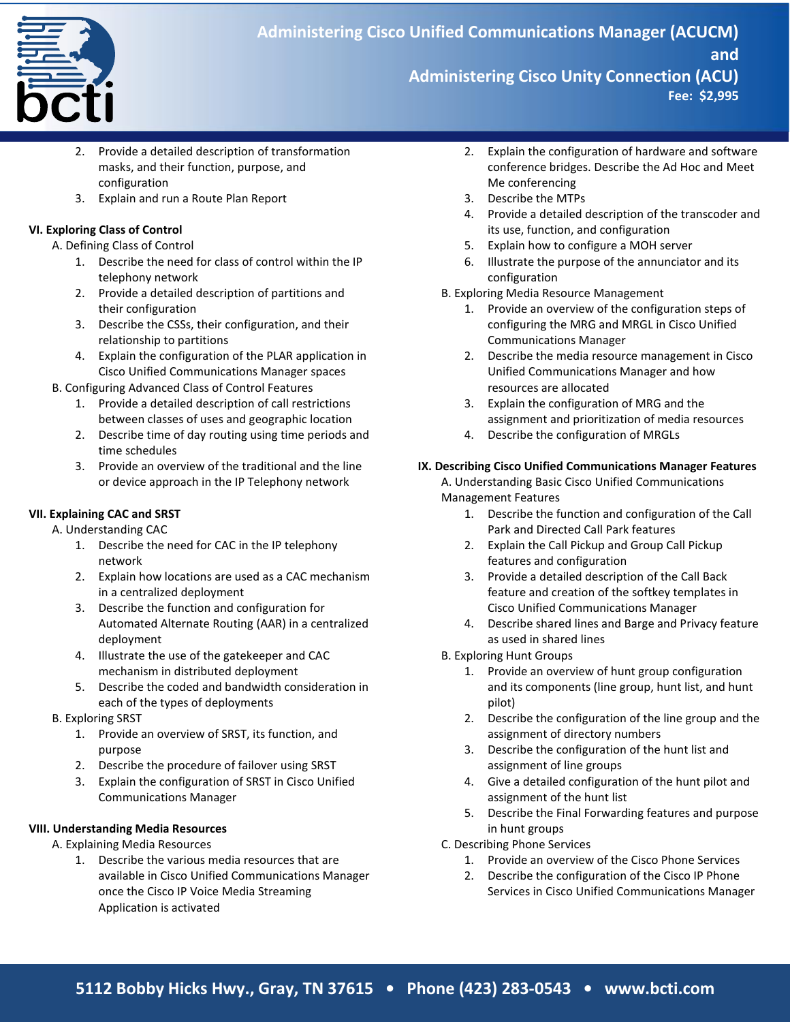

**March to June 2009**

- 2. Provide a detailed description of transformation masks, and their function, purpose, and configuration
- 3. Explain and run a Route Plan Report

## **VI. Exploring Class of Control**

A. Defining Class of Control

- 1. Describe the need for class of control within the IP telephony network
- 2. Provide a detailed description of partitions and their configuration
- 3. Describe the CSSs, their configuration, and their relationship to partitions
- 4. Explain the configuration of the PLAR application in Cisco Unified Communications Manager spaces
- B. Configuring Advanced Class of Control Features
	- 1. Provide a detailed description of call restrictions between classes of uses and geographic location
	- 2. Describe time of day routing using time periods and time schedules
	- 3. Provide an overview of the traditional and the line or device approach in the IP Telephony network

### **VII. Explaining CAC and SRST**

A. Understanding CAC

- 1. Describe the need for CAC in the IP telephony network
- 2. Explain how locations are used as a CAC mechanism in a centralized deployment
- 3. Describe the function and configuration for Automated Alternate Routing (AAR) in a centralized deployment
- 4. Illustrate the use of the gatekeeper and CAC mechanism in distributed deployment
- 5. Describe the coded and bandwidth consideration in each of the types of deployments

### B. Exploring SRST

- 1. Provide an overview of SRST, its function, and purpose
- 2. Describe the procedure of failover using SRST
- 3. Explain the configuration of SRST in Cisco Unified Communications Manager

### **VIII. Understanding Media Resources**

- A. Explaining Media Resources
	- 1. Describe the various media resources that are available in Cisco Unified Communications Manager once the Cisco IP Voice Media Streaming Application is activated
- 2. Explain the configuration of hardware and software conference bridges. Describe the Ad Hoc and Meet Me conferencing
- 3. Describe the MTPs
- 4. Provide a detailed description of the transcoder and its use, function, and configuration
- 5. Explain how to configure a MOH server
- 6. Illustrate the purpose of the annunciator and its configuration
- B. Exploring Media Resource Management
	- 1. Provide an overview of the configuration steps of configuring the MRG and MRGL in Cisco Unified Communications Manager
	- 2. Describe the media resource management in Cisco Unified Communications Manager and how resources are allocated
	- 3. Explain the configuration of MRG and the assignment and prioritization of media resources
	- 4. Describe the configuration of MRGLs

## **IX. Describing Cisco Unified Communications Manager Features**

A. Understanding Basic Cisco Unified Communications Management Features

- 1. Describe the function and configuration of the Call Park and Directed Call Park features
- 2. Explain the Call Pickup and Group Call Pickup features and configuration
- 3. Provide a detailed description of the Call Back feature and creation of the softkey templates in Cisco Unified Communications Manager
- 4. Describe shared lines and Barge and Privacy feature as used in shared lines
- B. Exploring Hunt Groups
	- 1. Provide an overview of hunt group configuration and its components (line group, hunt list, and hunt pilot)
	- 2. Describe the configuration of the line group and the assignment of directory numbers
	- 3. Describe the configuration of the hunt list and assignment of line groups
	- 4. Give a detailed configuration of the hunt pilot and assignment of the hunt list
	- 5. Describe the Final Forwarding features and purpose in hunt groups
- C. Describing Phone Services
	- 1. Provide an overview of the Cisco Phone Services
	- 2. Describe the configuration of the Cisco IP Phone Services in Cisco Unified Communications Manager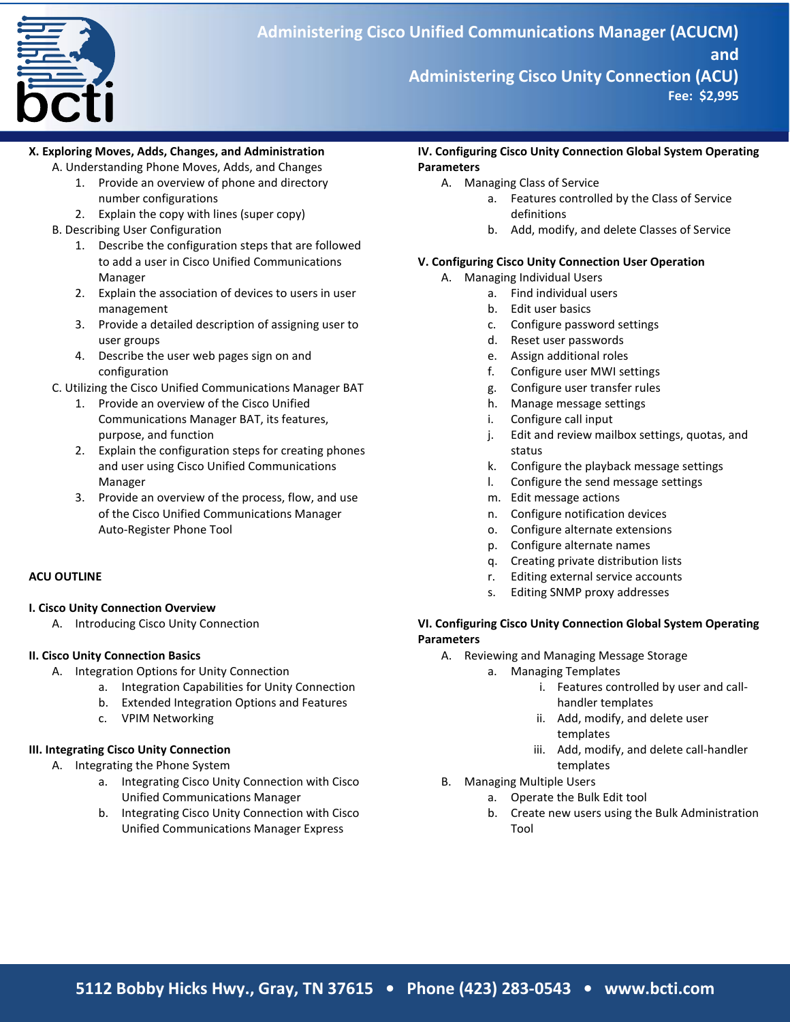

**March to June 2009**

### **X. Exploring Moves, Adds, Changes, and Administration**

- A. Understanding Phone Moves, Adds, and Changes
	- 1. Provide an overview of phone and directory number configurations
	- 2. Explain the copy with lines (super copy)
- B. Describing User Configuration
	- 1. Describe the configuration steps that are followed to add a user in Cisco Unified Communications Manager
	- 2. Explain the association of devices to users in user management
	- 3. Provide a detailed description of assigning user to user groups
	- 4. Describe the user web pages sign on and configuration
- C. Utilizing the Cisco Unified Communications Manager BAT
	- 1. Provide an overview of the Cisco Unified Communications Manager BAT, its features, purpose, and function
	- 2. Explain the configuration steps for creating phones and user using Cisco Unified Communications Manager
	- 3. Provide an overview of the process, flow, and use of the Cisco Unified Communications Manager Auto-Register Phone Tool

# **ACU OUTLINE**

## **I. Cisco Unity Connection Overview**

A. Introducing Cisco Unity Connection

## **II. Cisco Unity Connection Basics**

- A. Integration Options for Unity Connection
	- a. Integration Capabilities for Unity Connection
	- b. Extended Integration Options and Features
	- c. VPIM Networking

# **III. Integrating Cisco Unity Connection**

- A. Integrating the Phone System
	- a. Integrating Cisco Unity Connection with Cisco Unified Communications Manager
	- b. Integrating Cisco Unity Connection with Cisco Unified Communications Manager Express

### **IV. Configuring Cisco Unity Connection Global System Operating Parameters**

- A. Managing Class of Service
	- a. Features controlled by the Class of Service definitions
	- b. Add, modify, and delete Classes of Service

# **V. Configuring Cisco Unity Connection User Operation**

- A. Managing Individual Users
	- a. Find individual users
		- b. Edit user basics
		- c. Configure password settings
		- d. Reset user passwords
		- e. Assign additional roles
		- f. Configure user MWI settings
		- g. Configure user transfer rules
		- h. Manage message settings
		- i. Configure call input
		- j. Edit and review mailbox settings, quotas, and status
		- k. Configure the playback message settings
		- l. Configure the send message settings
		- m. Edit message actions
		- n. Configure notification devices
		- o. Configure alternate extensions
		- p. Configure alternate names
		- q. Creating private distribution lists
		- r. Editing external service accounts
		- s. Editing SNMP proxy addresses

## **VI. Configuring Cisco Unity Connection Global System Operating Parameters**

- A. Reviewing and Managing Message Storage
	- a. Managing Templates
		- i. Features controlled by user and callhandler templates
		- ii. Add, modify, and delete user templates
		- iii. Add, modify, and delete call-handler templates
- B. Managing Multiple Users
	- a. Operate the Bulk Edit tool
	- b. Create new users using the Bulk Administration Tool